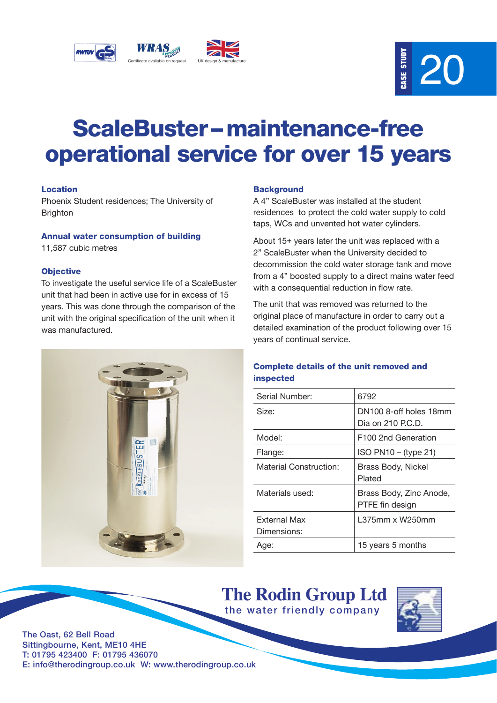



# ScaleBuster – maintenance-free operational service for over 15 years

# Location

Phoenix Student residences; The University of **Brighton** 

### Annual water consumption of building

11,587 cubic metres

# **Objective**

To investigate the useful service life of a ScaleBuster unit that had been in active use for in excess of 15 years. This was done through the comparison of the unit with the original specification of the unit when it was manufactured.



### **Background**

A 4" ScaleBuster was installed at the student residences to protect the cold water supply to cold taps, WCs and unvented hot water cylinders.

About 15+ years later the unit was replaced with a 2" ScaleBuster when the University decided to decommission the cold water storage tank and move from a 4" boosted supply to a direct mains water feed with a consequential reduction in flow rate.

The unit that was removed was returned to the original place of manufacture in order to carry out a detailed examination of the product following over 15 years of continual service.

# Complete details of the unit removed and inspected

| Serial Number:                | 6792                                        |
|-------------------------------|---------------------------------------------|
| Size:                         | DN100 8-off holes 18mm<br>Dia on 210 P.C.D. |
| Model:                        | F100 2nd Generation                         |
| Flange:                       | ISO PN10 - (type 21)                        |
| <b>Material Construction:</b> | Brass Body, Nickel<br>Plated                |
| Materials used:               | Brass Body, Zinc Anode,<br>PTFE fin design  |
| External Max<br>Dimensions:   | L375mm x W250mm                             |
| Age:                          | 15 years 5 months                           |

**The Rodin Group Ltd** the water friendly company



The Oast, 62 Bell Road Sittingbourne, Kent, ME10 4HE T: 01795 423400 F: 01795 436070 E: info@therodingroup.co.uk W: www.therodingroup.co.uk